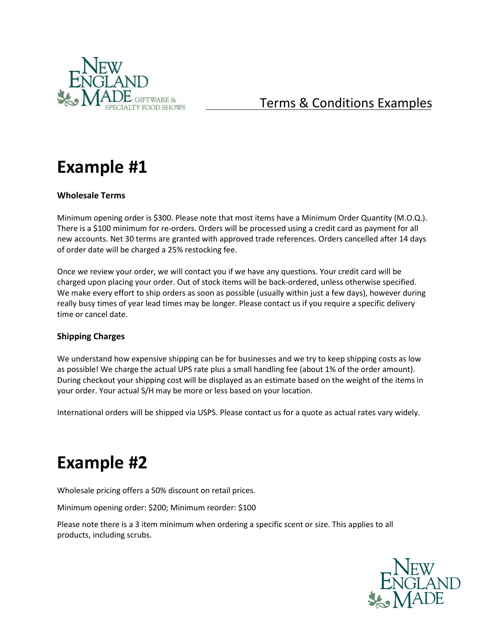

# Terms & Conditions Examples

# **Example #1**

# **Wholesale Terms**

Minimum opening order is \$300. Please note that most items have a Minimum Order Quantity (M.O.Q.). There is a \$100 minimum for re-orders. Orders will be processed using a credit card as payment for all new accounts. Net 30 terms are granted with approved trade references. Orders cancelled after 14 days of order date will be charged a 25% restocking fee.

Once we review your order, we will contact you if we have any questions. Your credit card will be charged upon placing your order. Out of stock items will be back-ordered, unless otherwise specified. We make every effort to ship orders as soon as possible (usually within just a few days), however during really busy times of year lead times may be longer. Please contact us if you require a specific delivery time or cancel date.

# **Shipping Charges**

We understand how expensive shipping can be for businesses and we try to keep shipping costs as low as possible! We charge the actual UPS rate plus a small handling fee (about 1% of the order amount). During checkout your shipping cost will be displayed as an estimate based on the weight of the items in your order. Your actual S/H may be more or less based on your location.

International orders will be shipped via USPS. Please contact us for a quote as actual rates vary widely.

# **Example #2**

Wholesale pricing offers a 50% discount on retail prices.

Minimum opening order: \$200; Minimum reorder: \$100

Please note there is a 3 item minimum when ordering a specific scent or size. This applies to all products, including scrubs.

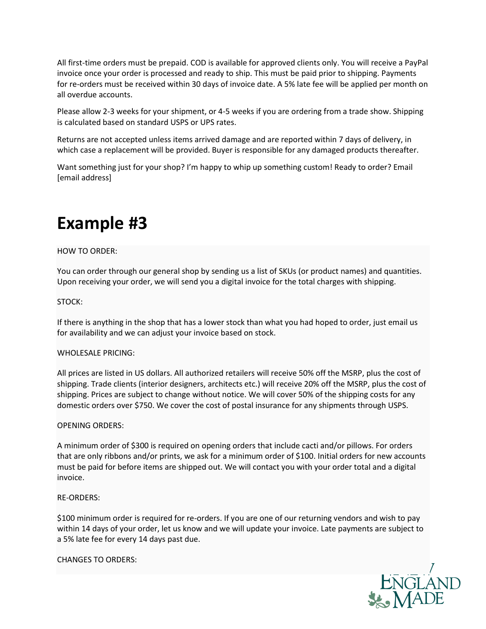All first-time orders must be prepaid. COD is available for approved clients only. You will receive a PayPal invoice once your order is processed and ready to ship. This must be paid prior to shipping. Payments for re-orders must be received within 30 days of invoice date. A 5% late fee will be applied per month on all overdue accounts.

Please allow 2-3 weeks for your shipment, or 4-5 weeks if you are ordering from a trade show. Shipping is calculated based on standard USPS or UPS rates.

Returns are not accepted unless items arrived damage and are reported within 7 days of delivery, in which case a replacement will be provided. Buyer is responsible for any damaged products thereafter.

Want something just for your shop? I'm happy to whip up something custom! Ready to order? Email [email address]

# **Example #3**

### HOW TO ORDER:

You can order through our general shop by sending us a list of SKUs (or product names) and quantities. Upon receiving your order, we will send you a digital invoice for the total charges with shipping.

#### STOCK:

If there is anything in the shop that has a lower stock than what you had hoped to order, just email us for availability and we can adjust your invoice based on stock.

#### WHOLESALE PRICING:

All prices are listed in US dollars. All authorized retailers will receive 50% off the MSRP, plus the cost of shipping. Trade clients (interior designers, architects etc.) will receive 20% off the MSRP, plus the cost of shipping. Prices are subject to change without notice. We will cover 50% of the shipping costs for any domestic orders over \$750. We cover the cost of postal insurance for any shipments through USPS.

#### OPENING ORDERS:

A minimum order of \$300 is required on opening orders that include cacti and/or pillows. For orders that are only ribbons and/or prints, we ask for a minimum order of \$100. Initial orders for new accounts must be paid for before items are shipped out. We will contact you with your order total and a digital invoice.

#### RE-ORDERS:

\$100 minimum order is required for re-orders. If you are one of our returning vendors and wish to pay within 14 days of your order, let us know and we will update your invoice. Late payments are subject to a 5% late fee for every 14 days past due.

#### CHANGES TO ORDERS:

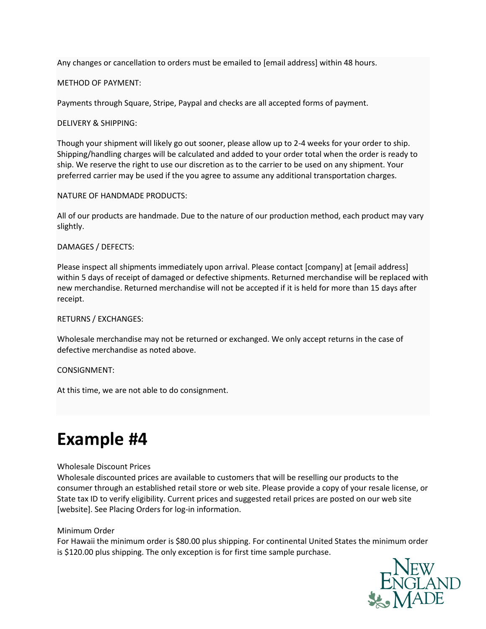Any changes or cancellation to orders must be emailed to [email address] within 48 hours.

#### METHOD OF PAYMENT:

Payments through Square, Stripe, Paypal and checks are all accepted forms of payment.

DELIVERY & SHIPPING:

Though your shipment will likely go out sooner, please allow up to 2-4 weeks for your order to ship. Shipping/handling charges will be calculated and added to your order total when the order is ready to ship. We reserve the right to use our discretion as to the carrier to be used on any shipment. Your preferred carrier may be used if the you agree to assume any additional transportation charges.

NATURE OF HANDMADE PRODUCTS:

All of our products are handmade. Due to the nature of our production method, each product may vary slightly.

### DAMAGES / DEFECTS:

Please inspect all shipments immediately upon arrival. Please contact [company] at [email address] within 5 days of receipt of damaged or defective shipments. Returned merchandise will be replaced with new merchandise. Returned merchandise will not be accepted if it is held for more than 15 days after receipt.

#### RETURNS / EXCHANGES:

Wholesale merchandise may not be returned or exchanged. We only accept returns in the case of defective merchandise as noted above.

#### CONSIGNMENT:

At this time, we are not able to do consignment.

# **Example #4**

#### Wholesale Discount Prices

Wholesale discounted prices are available to customers that will be reselling our products to the consumer through an established retail store or web site. Please provide a copy of your resale license, or State tax ID to verify eligibility. Current prices and suggested retail prices are posted on our web site [website]. See Placing Orders for log-in information.

#### Minimum Order

For Hawaii the minimum order is \$80.00 plus shipping. For continental United States the minimum order is \$120.00 plus shipping. The only exception is for first time sample purchase.

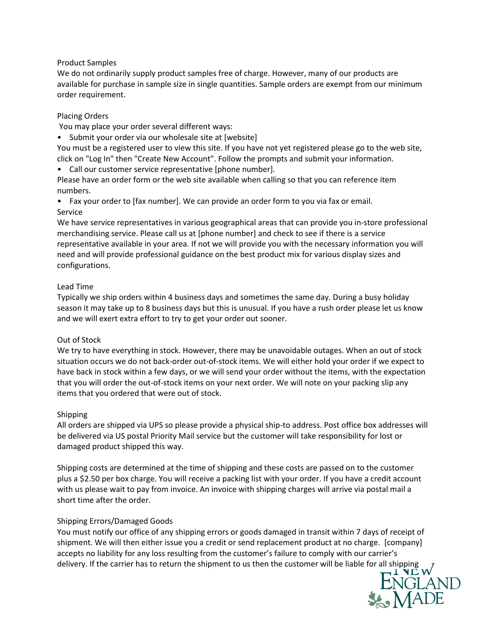#### Product Samples

We do not ordinarily supply product samples free of charge. However, many of our products are available for purchase in sample size in single quantities. Sample orders are exempt from our minimum order requirement.

### Placing Orders

You may place your order several different ways:

• Submit your order via our wholesale site at [website]

You must be a registered user to view this site. If you have not yet registered please go to the web site, click on "Log In" then "Create New Account". Follow the prompts and submit your information.

• Call our customer service representative [phone number].

Please have an order form or the web site available when calling so that you can reference item numbers.

• Fax your order to [fax number]. We can provide an order form to you via fax or email. Service

We have service representatives in various geographical areas that can provide you in-store professional merchandising service. Please call us at [phone number] and check to see if there is a service representative available in your area. If not we will provide you with the necessary information you will need and will provide professional guidance on the best product mix for various display sizes and configurations.

### Lead Time

Typically we ship orders within 4 business days and sometimes the same day. During a busy holiday season it may take up to 8 business days but this is unusual. If you have a rush order please let us know and we will exert extra effort to try to get your order out sooner.

# Out of Stock

We try to have everything in stock. However, there may be unavoidable outages. When an out of stock situation occurs we do not back-order out-of-stock items. We will either hold your order if we expect to have back in stock within a few days, or we will send your order without the items, with the expectation that you will order the out-of-stock items on your next order. We will note on your packing slip any items that you ordered that were out of stock.

#### Shipping

All orders are shipped via UPS so please provide a physical ship-to address. Post office box addresses will be delivered via US postal Priority Mail service but the customer will take responsibility for lost or damaged product shipped this way.

Shipping costs are determined at the time of shipping and these costs are passed on to the customer plus a \$2.50 per box charge. You will receive a packing list with your order. If you have a credit account with us please wait to pay from invoice. An invoice with shipping charges will arrive via postal mail a short time after the order.

# Shipping Errors/Damaged Goods

You must notify our office of any shipping errors or goods damaged in transit within 7 days of receipt of shipment. We will then either issue you a credit or send replacement product at no charge. [company] accepts no liability for any loss resulting from the customer's failure to comply with our carrier's delivery. If the carrier has to return the shipment to us then the customer will be liable for all shipping